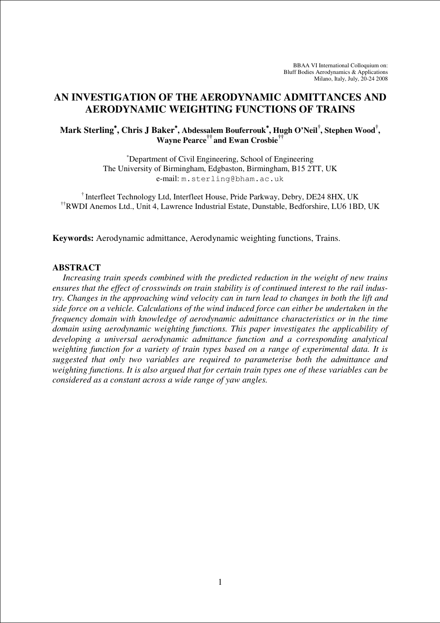# **AN INVESTIGATION OF THE AERODYNAMIC ADMITTANCES AND AERODYNAMIC WEIGHTING FUNCTIONS OF TRAINS**

# **Mark Sterling**<sup>∗</sup>**, Chris J Baker**<sup>∗</sup>**, Abdessalem Bouferrouk**∗**, Hugh O'Neil† , Stephen Wood† , Wayne Pearce†† and Ewan Crosbie††**

<sup>∗</sup>Department of Civil Engineering, School of Engineering The University of Birmingham, Edgbaston, Birmingham, B15 2TT, UK e-mail: m.sterling@bham.ac.uk

† Interfleet Technology Ltd, Interfleet House, Pride Parkway, Debry, DE24 8HX, UK ††RWDI Anemos Ltd., Unit 4, Lawrence Industrial Estate, Dunstable, Bedforshire, LU6 1BD, UK

**Keywords:** Aerodynamic admittance, Aerodynamic weighting functions, Trains.

### **ABSTRACT**

*Increasing train speeds combined with the predicted reduction in the weight of new trains ensures that the effect of crosswinds on train stability is of continued interest to the rail industry. Changes in the approaching wind velocity can in turn lead to changes in both the lift and side force on a vehicle. Calculations of the wind induced force can either be undertaken in the frequency domain with knowledge of aerodynamic admittance characteristics or in the time domain using aerodynamic weighting functions. This paper investigates the applicability of developing a universal aerodynamic admittance function and a corresponding analytical weighting function for a variety of train types based on a range of experimental data. It is suggested that only two variables are required to parameterise both the admittance and weighting functions. It is also argued that for certain train types one of these variables can be considered as a constant across a wide range of yaw angles.*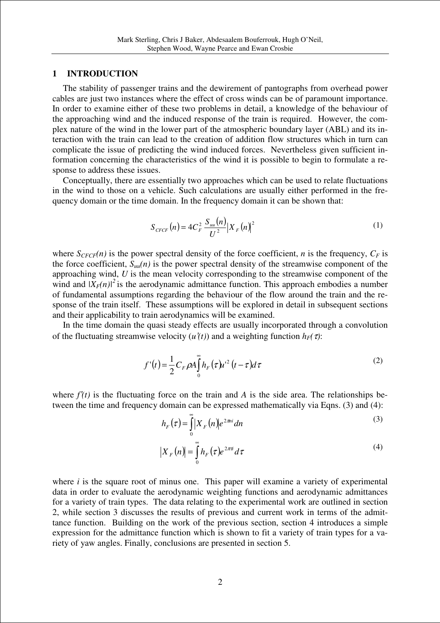### **1 INTRODUCTION**

The stability of passenger trains and the dewirement of pantographs from overhead power cables are just two instances where the effect of cross winds can be of paramount importance. In order to examine either of these two problems in detail, a knowledge of the behaviour of the approaching wind and the induced response of the train is required. However, the complex nature of the wind in the lower part of the atmospheric boundary layer (ABL) and its interaction with the train can lead to the creation of addition flow structures which in turn can complicate the issue of predicting the wind induced forces. Nevertheless given sufficient information concerning the characteristics of the wind it is possible to begin to formulate a response to address these issues.

Conceptually, there are essentially two approaches which can be used to relate fluctuations in the wind to those on a vehicle. Such calculations are usually either performed in the frequency domain or the time domain. In the frequency domain it can be shown that:

$$
S_{CFCF}(n) = 4C_F^2 \frac{S_{uu}(n)}{U^2} |X_F(n)|^2
$$
 (1)

where  $S_{CFCF}(n)$  is the power spectral density of the force coefficient, *n* is the frequency,  $C_F$  is the force coefficient,  $S_{uu}(n)$  is the power spectral density of the streamwise component of the approaching wind, *U* is the mean velocity corresponding to the streamwise component of the wind and  $|X_F(n)|^2$  is the aerodynamic admittance function. This approach embodies a number of fundamental assumptions regarding the behaviour of the flow around the train and the response of the train itself. These assumptions will be explored in detail in subsequent sections and their applicability to train aerodynamics will be examined.

In the time domain the quasi steady effects are usually incorporated through a convolution of the fluctuating streamwise velocity  $(u'(t))$  and a weighting function  $h_F(\tau)$ :

$$
f'(t) = \frac{1}{2} C_F \rho A \int_0^\infty h_F(\tau) u'^2 (t - \tau) d\tau
$$
 (2)

where  $f'(t)$  is the fluctuating force on the train and *A* is the side area. The relationships between the time and frequency domain can be expressed mathematically via Eqns. (3) and (4):

$$
h_F(\tau) = \int_0^\infty |X_F(n)| e^{2\pi n i} dn \tag{3}
$$

$$
\left|X_{F}\left(n\right)\right| = \int_{0}^{\infty} h_{F}\left(\tau\right) e^{2\pi n} d\tau \tag{4}
$$

where *i* is the square root of minus one. This paper will examine a variety of experimental data in order to evaluate the aerodynamic weighting functions and aerodynamic admittances for a variety of train types. The data relating to the experimental work are outlined in section 2, while section 3 discusses the results of previous and current work in terms of the admittance function. Building on the work of the previous section, section 4 introduces a simple expression for the admittance function which is shown to fit a variety of train types for a variety of yaw angles. Finally, conclusions are presented in section 5.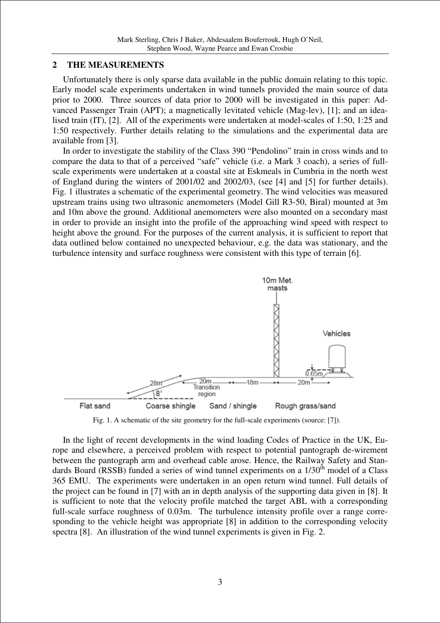# **2 THE MEASUREMENTS**

Unfortunately there is only sparse data available in the public domain relating to this topic. Early model scale experiments undertaken in wind tunnels provided the main source of data prior to 2000. Three sources of data prior to 2000 will be investigated in this paper: Advanced Passenger Train (APT); a magnetically levitated vehicle (Mag-lev), [1]; and an idealised train (IT), [2]. All of the experiments were undertaken at model-scales of 1:50, 1:25 and 1:50 respectively. Further details relating to the simulations and the experimental data are available from [3].

In order to investigate the stability of the Class 390 "Pendolino" train in cross winds and to compare the data to that of a perceived "safe" vehicle (i.e. a Mark 3 coach), a series of fullscale experiments were undertaken at a coastal site at Eskmeals in Cumbria in the north west of England during the winters of 2001/02 and 2002/03, (see [4] and [5] for further details). Fig. 1 illustrates a schematic of the experimental geometry. The wind velocities was measured upstream trains using two ultrasonic anemometers (Model Gill R3-50, Biral) mounted at 3m and 10m above the ground. Additional anemometers were also mounted on a secondary mast in order to provide an insight into the profile of the approaching wind speed with respect to height above the ground. For the purposes of the current analysis, it is sufficient to report that data outlined below contained no unexpected behaviour, e.g. the data was stationary, and the turbulence intensity and surface roughness were consistent with this type of terrain [6].



Fig. 1. A schematic of the site geometry for the full-scale experiments (source: [7]).

In the light of recent developments in the wind loading Codes of Practice in the UK, Europe and elsewhere, a perceived problem with respect to potential pantograph de-wirement between the pantograph arm and overhead cable arose. Hence, the Railway Safety and Standards Board (RSSB) funded a series of wind tunnel experiments on a  $1/30<sup>th</sup>$  model of a Class 365 EMU. The experiments were undertaken in an open return wind tunnel. Full details of the project can be found in [7] with an in depth analysis of the supporting data given in [8]. It is sufficient to note that the velocity profile matched the target ABL with a corresponding full-scale surface roughness of 0.03m. The turbulence intensity profile over a range corresponding to the vehicle height was appropriate [8] in addition to the corresponding velocity spectra [8]. An illustration of the wind tunnel experiments is given in Fig. 2.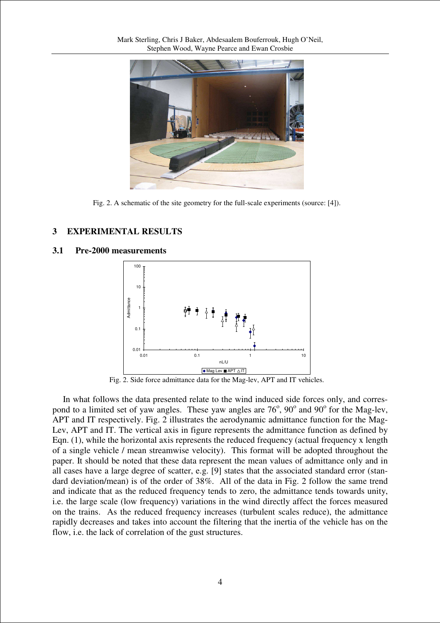

Fig. 2. A schematic of the site geometry for the full-scale experiments (source: [4]).

# **3 EXPERIMENTAL RESULTS**

# **3.1 Pre-2000 measurements**



Fig. 2. Side force admittance data for the Mag-lev, APT and IT vehicles.

In what follows the data presented relate to the wind induced side forces only, and correspond to a limited set of yaw angles. These yaw angles are  $76^{\circ}$ ,  $90^{\circ}$  and  $90^{\circ}$  for the Mag-lev, APT and IT respectively. Fig. 2 illustrates the aerodynamic admittance function for the Mag-Lev, APT and IT. The vertical axis in figure represents the admittance function as defined by Eqn. (1), while the horizontal axis represents the reduced frequency (actual frequency x length of a single vehicle / mean streamwise velocity). This format will be adopted throughout the paper. It should be noted that these data represent the mean values of admittance only and in all cases have a large degree of scatter, e.g. [9] states that the associated standard error (standard deviation/mean) is of the order of 38%. All of the data in Fig. 2 follow the same trend and indicate that as the reduced frequency tends to zero, the admittance tends towards unity, i.e. the large scale (low frequency) variations in the wind directly affect the forces measured on the trains. As the reduced frequency increases (turbulent scales reduce), the admittance rapidly decreases and takes into account the filtering that the inertia of the vehicle has on the flow, i.e. the lack of correlation of the gust structures.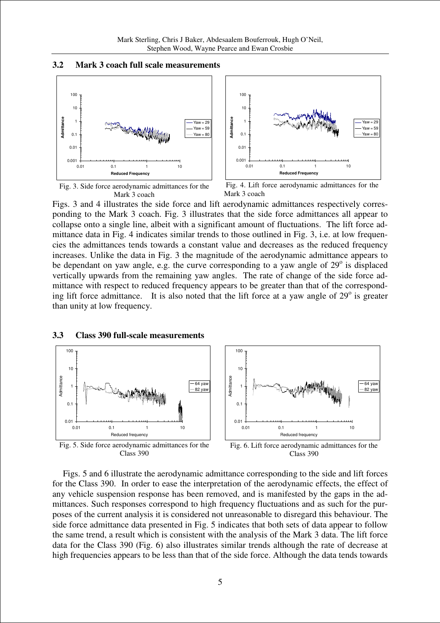### **3.2 Mark 3 coach full scale measurements**





Fig. 3. Side force aerodynamic admittances for the Mark 3 coach



Figs. 3 and 4 illustrates the side force and lift aerodynamic admittances respectively corresponding to the Mark 3 coach. Fig. 3 illustrates that the side force admittances all appear to collapse onto a single line, albeit with a significant amount of fluctuations. The lift force admittance data in Fig. 4 indicates similar trends to those outlined in Fig. 3, i.e. at low frequencies the admittances tends towards a constant value and decreases as the reduced frequency increases. Unlike the data in Fig. 3 the magnitude of the aerodynamic admittance appears to be dependant on yaw angle, e.g. the curve corresponding to a yaw angle of  $29^\circ$  is displaced vertically upwards from the remaining yaw angles. The rate of change of the side force admittance with respect to reduced frequency appears to be greater than that of the corresponding lift force admittance. It is also noted that the lift force at a yaw angle of  $29^\circ$  is greater than unity at low frequency.

#### **3.3 Class 390 full-scale measurements**



Figs. 5 and 6 illustrate the aerodynamic admittance corresponding to the side and lift forces for the Class 390. In order to ease the interpretation of the aerodynamic effects, the effect of any vehicle suspension response has been removed, and is manifested by the gaps in the admittances. Such responses correspond to high frequency fluctuations and as such for the purposes of the current analysis it is considered not unreasonable to disregard this behaviour. The side force admittance data presented in Fig. 5 indicates that both sets of data appear to follow the same trend, a result which is consistent with the analysis of the Mark 3 data. The lift force data for the Class 390 (Fig. 6) also illustrates similar trends although the rate of decrease at high frequencies appears to be less than that of the side force. Although the data tends towards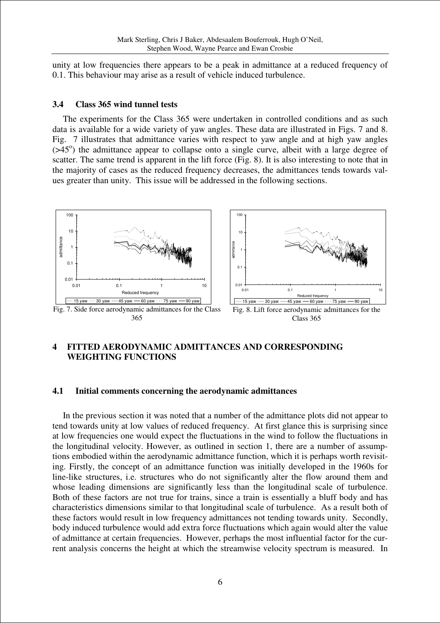unity at low frequencies there appears to be a peak in admittance at a reduced frequency of 0.1. This behaviour may arise as a result of vehicle induced turbulence.

## **3.4 Class 365 wind tunnel tests**

The experiments for the Class 365 were undertaken in controlled conditions and as such data is available for a wide variety of yaw angles. These data are illustrated in Figs. 7 and 8. Fig. 7 illustrates that admittance varies with respect to yaw angle and at high yaw angles  $($ >45 $^{\circ}$ ) the admittance appear to collapse onto a single curve, albeit with a large degree of scatter. The same trend is apparent in the lift force (Fig. 8). It is also interesting to note that in the majority of cases as the reduced frequency decreases, the admittances tends towards values greater than unity. This issue will be addressed in the following sections.



# **4 FITTED AERODYNAMIC ADMITTANCES AND CORRESPONDING WEIGHTING FUNCTIONS**

### **4.1 Initial comments concerning the aerodynamic admittances**

In the previous section it was noted that a number of the admittance plots did not appear to tend towards unity at low values of reduced frequency. At first glance this is surprising since at low frequencies one would expect the fluctuations in the wind to follow the fluctuations in the longitudinal velocity. However, as outlined in section 1, there are a number of assumptions embodied within the aerodynamic admittance function, which it is perhaps worth revisiting. Firstly, the concept of an admittance function was initially developed in the 1960s for line-like structures, i.e. structures who do not significantly alter the flow around them and whose leading dimensions are significantly less than the longitudinal scale of turbulence. Both of these factors are not true for trains, since a train is essentially a bluff body and has characteristics dimensions similar to that longitudinal scale of turbulence. As a result both of these factors would result in low frequency admittances not tending towards unity. Secondly, body induced turbulence would add extra force fluctuations which again would alter the value of admittance at certain frequencies. However, perhaps the most influential factor for the current analysis concerns the height at which the streamwise velocity spectrum is measured. In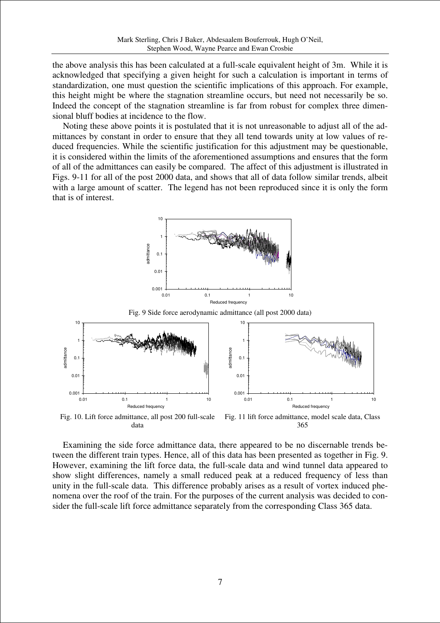the above analysis this has been calculated at a full-scale equivalent height of 3m. While it is acknowledged that specifying a given height for such a calculation is important in terms of standardization, one must question the scientific implications of this approach. For example, this height might be where the stagnation streamline occurs, but need not necessarily be so. Indeed the concept of the stagnation streamline is far from robust for complex three dimensional bluff bodies at incidence to the flow.

Noting these above points it is postulated that it is not unreasonable to adjust all of the admittances by constant in order to ensure that they all tend towards unity at low values of reduced frequencies. While the scientific justification for this adjustment may be questionable, it is considered within the limits of the aforementioned assumptions and ensures that the form of all of the admittances can easily be compared. The affect of this adjustment is illustrated in Figs. 9-11 for all of the post 2000 data, and shows that all of data follow similar trends, albeit with a large amount of scatter. The legend has not been reproduced since it is only the form that is of interest.

10



Fig. 10. Lift force admittance, all post 200 full-scale data Fig. 11 lift force admittance, model scale data, Class 365

Examining the side force admittance data, there appeared to be no discernable trends between the different train types. Hence, all of this data has been presented as together in Fig. 9. However, examining the lift force data, the full-scale data and wind tunnel data appeared to show slight differences, namely a small reduced peak at a reduced frequency of less than unity in the full-scale data. This difference probably arises as a result of vortex induced phenomena over the roof of the train. For the purposes of the current analysis was decided to consider the full-scale lift force admittance separately from the corresponding Class 365 data.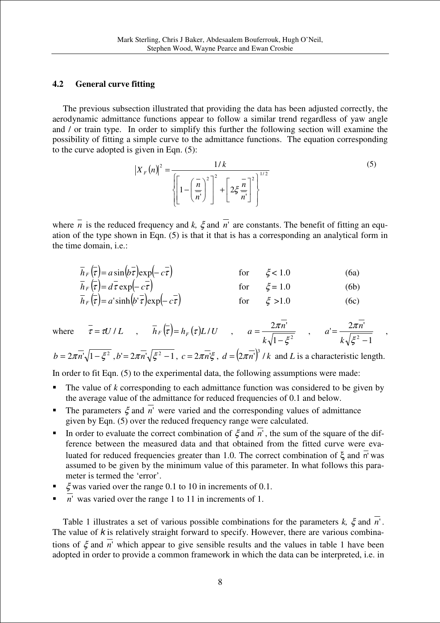## **4.2 General curve fitting**

The previous subsection illustrated that providing the data has been adjusted correctly, the aerodynamic admittance functions appear to follow a similar trend regardless of yaw angle and / or train type. In order to simplify this further the following section will examine the possibility of fitting a simple curve to the admittance functions. The equation corresponding to the curve adopted is given in Eqn. (5):

$$
\left|X_{F}(n)\right|^{2} = \frac{1/k}{\left\{\left[1-\left(\frac{\overline{n}}{n}\right)^{2}\right]^{2}+\left[2\xi\frac{\overline{n}}{n}\right]^{2}\right\}^{1/2}}
$$
\n(5)

where  $\overline{n}$  is the reduced frequency and *k*,  $\xi$  and  $\overline{n}$ ' are constants. The benefit of fitting an equation of the type shown in Eqn. (5) is that it that is has a corresponding an analytical form in the time domain, i.e.:

$$
\overline{h}_F(\overline{\tau}) = a \sin(b\overline{\tau}) \exp(-c\overline{\tau}) \qquad \text{for} \qquad \xi < 1.0 \qquad (6a)
$$
  
\n
$$
\overline{h}_F(\overline{\tau}) = d\overline{\tau} \exp(-c\overline{\tau}) \qquad \text{for} \qquad \xi = 1.0 \qquad (6b)
$$

$$
\overline{h}_F(\overline{\tau}) = a' \sinh(b' \overline{\tau}) \exp(-c \overline{\tau}) \qquad \text{for} \qquad \xi > 1.0 \qquad (6c)
$$

where 
$$
\overline{\tau} = \tau U / L
$$
,  $\overline{h}_F(\overline{\tau}) = h_F(\tau) L / U$ ,  $a = \frac{2\pi \overline{n'}}{k\sqrt{1 - \xi^2}}$ ,  $a' = \frac{2\pi \overline{n'}}{k\sqrt{\xi^2 - 1}}$ ,

 $b = 2\pi \overline{n'}\sqrt{1-\xi^2}$ ,  $b' = 2\pi \overline{n'}\sqrt{\xi^2-1}$ ,  $c = 2\pi \overline{n'}\xi$ ,  $d = (2\pi \overline{n'})^3 / k$  and *L* is a characteristic length.

In order to fit Eqn. (5) to the experimental data, the following assumptions were made:

- The value of *k* corresponding to each admittance function was considered to be given by the average value of the admittance for reduced frequencies of 0.1 and below.
- The parameters  $\xi$  and  $\overline{n}$ <sup>'</sup> were varied and the corresponding values of admittance given by Eqn. (5) over the reduced frequency range were calculated.
- In order to evaluate the correct combination of  $\xi$  and  $\overline{n}$ <sup>'</sup>, the sum of the square of the difference between the measured data and that obtained from the fitted curve were evaluated for reduced frequencies greater than 1.0. The correct combination of ξ and  $\overline{n}$  was assumed to be given by the minimum value of this parameter. In what follows this parameter is termed the 'error'.
- $\xi$  was varied over the range 0.1 to 10 in increments of 0.1.
- $\overline{n}$ <sup>'</sup> was varied over the range 1 to 11 in increments of 1.

Table 1 illustrates a set of various possible combinations for the parameters  $k$ ,  $\xi$  and  $\overline{n}$ '. The value of  $k$  is relatively straight forward to specify. However, there are various combinations of ξ and *n*' which appear to give sensible results and the values in table 1 have been adopted in order to provide a common framework in which the data can be interpreted, i.e. in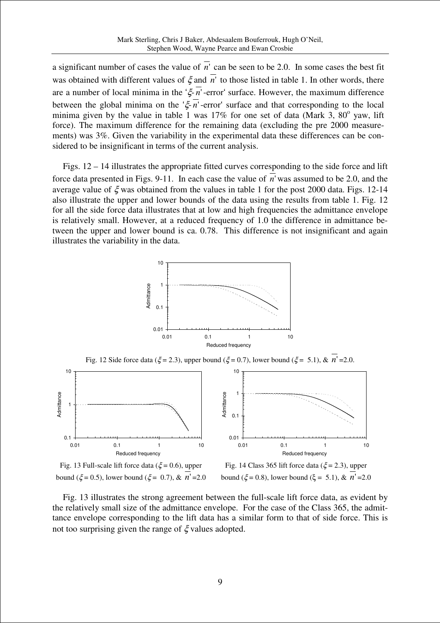a significant number of cases the value of  $\overline{n}$ <sup>'</sup> can be seen to be 2.0. In some cases the best fit was obtained with different values of  $\xi$  and  $\overline{n'}$  to those listed in table 1. In other words, there are a number of local minima in the 'ξ- *n*'-error' surface. However, the maximum difference between the global minima on the ' $\xi \overline{n}$ '-error' surface and that corresponding to the local minima given by the value in table 1 was  $17\%$  for one set of data (Mark 3,  $80^\circ$  yaw, lift force). The maximum difference for the remaining data (excluding the pre 2000 measurements) was 3%. Given the variability in the experimental data these differences can be considered to be insignificant in terms of the current analysis.

Figs. 12 – 14 illustrates the appropriate fitted curves corresponding to the side force and lift force data presented in Figs. 9-11. In each case the value of *n*' was assumed to be 2.0, and the average value of  $\xi$  was obtained from the values in table 1 for the post 2000 data. Figs. 12-14 also illustrate the upper and lower bounds of the data using the results from table 1. Fig. 12 for all the side force data illustrates that at low and high frequencies the admittance envelope is relatively small. However, at a reduced frequency of 1.0 the difference in admittance between the upper and lower bound is ca. 0.78. This difference is not insignificant and again illustrates the variability in the data.





Fig. 13 Full-scale lift force data ( $\xi$  = 0.6), upper bound ( $\xi = 0.5$ ), lower bound ( $\xi = 0.7$ ), &  $n' = 2.0$ 

Fig. 14 Class 365 lift force data ( $\xi$  = 2.3), upper bound ( $\xi = 0.8$ ), lower bound ( $\xi = 5.1$ ), &  $n' = 2.0$ 

Fig. 13 illustrates the strong agreement between the full-scale lift force data, as evident by the relatively small size of the admittance envelope. For the case of the Class 365, the admittance envelope corresponding to the lift data has a similar form to that of side force. This is not too surprising given the range of  $\xi$  values adopted.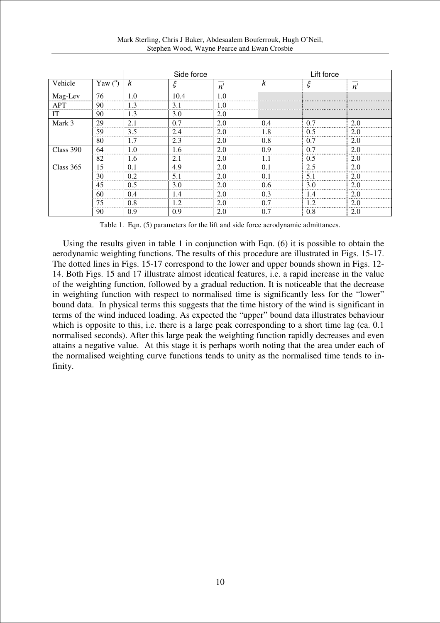|                |                | Side force |      |                  | Lift force |     |     |
|----------------|----------------|------------|------|------------------|------------|-----|-----|
| Vehicle        | Yaw $(^\circ)$ | k          |      | $\boldsymbol{n}$ | k          |     | n   |
| Mag-Lev<br>APT | 76             | 1.0        | 10.4 | 1.0              |            |     |     |
|                | 90             | 1.3        | 3.1  | 1.0              |            |     |     |
| ΙТ             | 90             | 1.3        | 3.0  | 2.0              |            |     |     |
| Mark 3         | 29             | 2.1        | 0.7  | 2.0              | 0.4        | 0.7 | 2.0 |
|                | 59             | 3.5        | 2.4  | 2.0              | 1.8        | 0.5 | 2.0 |
|                | 80             | 1.7        | 2.3  | 2.0              | 0.8        | 0.7 | 2.0 |
| Class 390      | 64             | 1.0        | 1.6  | 2.0              | 0.9        | 0.7 | 2.0 |
|                | 82             | 1.6        | 2.1  | 2.0              | 1.1        | 0.5 | 2.0 |
| Class 365      | 15             | 0.1        | 4.9  | 2.0              | 0.1        | 2.5 | 2.0 |
|                | 30             | 0.2        | 51   | 2.0              | 0.1        | 5.1 | 2.0 |
|                | 45             | 0.5        | 3.0  | 2.0              | 0.6        | 3.0 | 2.0 |
|                | 60             | 0.4        | 1.4  | 2.0              | 0.3        | 1.4 | 2.0 |
|                | 75             | 0.8        | 1.2. | 2.0              | 0.7        | 12  | 2.0 |
|                | 90             | 0.9        | 0.9  | 2.0              | 0.7        | 0.8 | 2.0 |

Table 1. Eqn. (5) parameters for the lift and side force aerodynamic admittances.

Using the results given in table 1 in conjunction with Eqn. (6) it is possible to obtain the aerodynamic weighting functions. The results of this procedure are illustrated in Figs. 15-17. The dotted lines in Figs. 15-17 correspond to the lower and upper bounds shown in Figs. 12- 14. Both Figs. 15 and 17 illustrate almost identical features, i.e. a rapid increase in the value of the weighting function, followed by a gradual reduction. It is noticeable that the decrease in weighting function with respect to normalised time is significantly less for the "lower" bound data. In physical terms this suggests that the time history of the wind is significant in terms of the wind induced loading. As expected the "upper" bound data illustrates behaviour which is opposite to this, i.e. there is a large peak corresponding to a short time lag (ca. 0.1) normalised seconds). After this large peak the weighting function rapidly decreases and even attains a negative value. At this stage it is perhaps worth noting that the area under each of the normalised weighting curve functions tends to unity as the normalised time tends to infinity.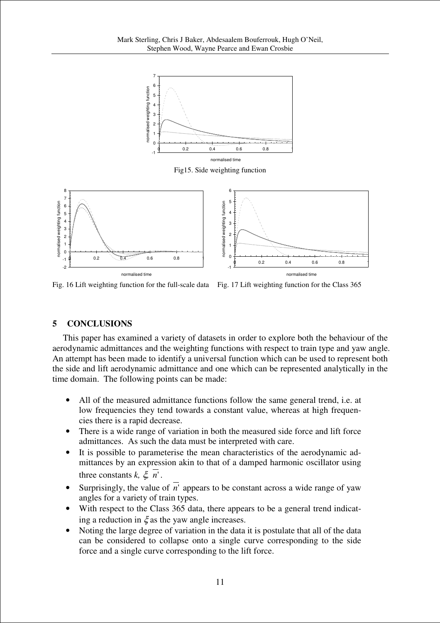

Fig. 16 Lift weighting function for the full-scale data Fig. 17 Lift weighting function for the Class 365

-1

0 0.2 0.4 0.6 0.8 1 normalised time

## **5 CONCLUSIONS**

normalised time

-2 -1

This paper has examined a variety of datasets in order to explore both the behaviour of the aerodynamic admittances and the weighting functions with respect to train type and yaw angle. An attempt has been made to identify a universal function which can be used to represent both the side and lift aerodynamic admittance and one which can be represented analytically in the time domain. The following points can be made:

- All of the measured admittance functions follow the same general trend, i.e. at low frequencies they tend towards a constant value, whereas at high frequencies there is a rapid decrease.
- There is a wide range of variation in both the measured side force and lift force admittances. As such the data must be interpreted with care.
- It is possible to parameterise the mean characteristics of the aerodynamic admittances by an expression akin to that of a damped harmonic oscillator using three constants  $k, \xi, n'$ .
- Surprisingly, the value of  $\overline{n'}$  appears to be constant across a wide range of yaw angles for a variety of train types.
- With respect to the Class 365 data, there appears to be a general trend indicating a reduction in  $\xi$  as the yaw angle increases.
- Noting the large degree of variation in the data it is postulate that all of the data can be considered to collapse onto a single curve corresponding to the side force and a single curve corresponding to the lift force.